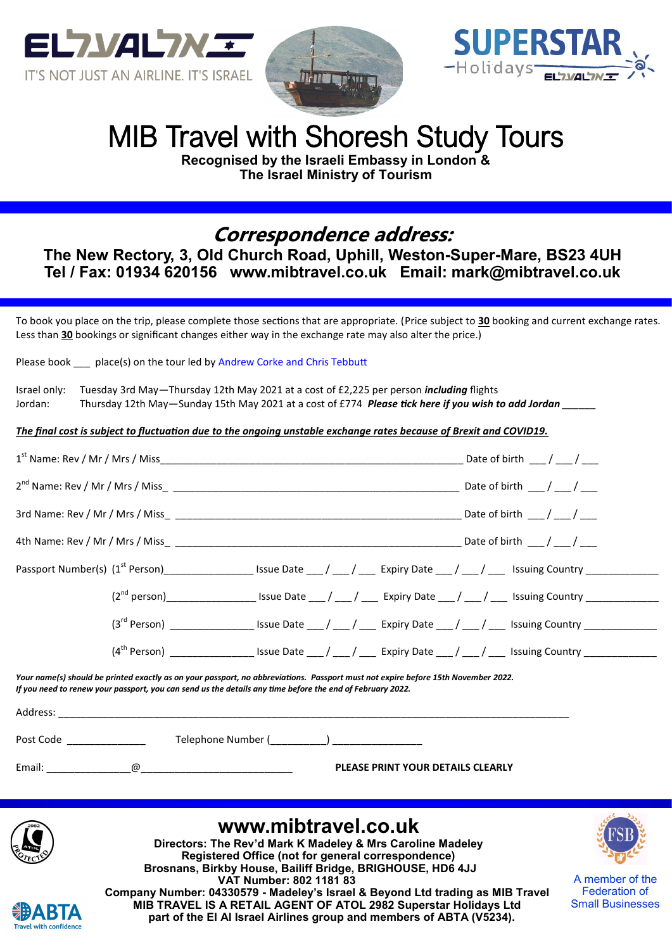





Small Businesses

# MIB Travel with Shoresh Study Tours

**Recognised by the Israeli Embassy in London & The Israel Ministry of Tourism**

## **Correspondence address:**

**The New Rectory, 3, Old Church Road, Uphill, Weston-Super-Mare, BS23 4UH Tel / Fax: 01934 620156 www.mibtravel.co.uk Email: mark@mibtravel.co.uk**

To book you place on the trip, please complete those sections that are appropriate. (Price subject to **30** booking and current exchange rates. Less than **30** bookings or significant changes either way in the exchange rate may also alter the price.)

Please book \_\_\_ place(s) on the tour led by Andrew Corke and Chris Tebbutt

|         | Israel only: Tuesday 3rd May—Thursday 12th May 2021 at a cost of £2,225 per person <i>including</i> flights |
|---------|-------------------------------------------------------------------------------------------------------------|
| Jordan: | Thursday 12th May—Sunday 15th May 2021 at a cost of £774 Please tick here if you wish to add Jordan         |

*The final cost is subject to fluctuation due to the ongoing unstable exchange rates because of Brexit and COVID19.*

|                                                                                                                                                                                                                                                | Passport Number(s) (1 <sup>st</sup> Person)_____________________Issue Date ___ / ___ / ____ Expiry Date ___ / ___ / ____ Issuing Country ______________                                               |
|------------------------------------------------------------------------------------------------------------------------------------------------------------------------------------------------------------------------------------------------|-------------------------------------------------------------------------------------------------------------------------------------------------------------------------------------------------------|
|                                                                                                                                                                                                                                                |                                                                                                                                                                                                       |
|                                                                                                                                                                                                                                                | $(3^{rd}$ Person) ___________________ Issue Date ___ / ____ / ____ Expiry Date ___ / ___ / ____ Issuing Country _____________                                                                         |
|                                                                                                                                                                                                                                                | $(4th Person)$ ____________________ Issue Date ___ / ___ / _____ Expiry Date ___ / ___ / ____ Issuing Country _____________                                                                           |
| Your name(s) should be printed exactly as on your passport, no abbreviations. Passport must not expire before 15th November 2022.<br>If you need to renew your passport, you can send us the details any time before the end of February 2022. |                                                                                                                                                                                                       |
| Telephone Number (__________) __________________<br>Post Code                                                                                                                                                                                  |                                                                                                                                                                                                       |
|                                                                                                                                                                                                                                                | <b>PLEASE PRINT YOUR DETAILS CLEARLY</b>                                                                                                                                                              |
|                                                                                                                                                                                                                                                | www.mibtravel.co.uk<br>Directors: The Rev'd Mark K Madeley & Mrs Caroline Madeley<br>Registered Office (not for general correspondence)<br>Brosnans, Birkby House, Bailiff Bridge, BRIGHOUSE, HD6 4JJ |
| VAT Number: 802 1181 83                                                                                                                                                                                                                        | A member of the<br>Federation of<br>Company Number: 04330579 - Madeley's Israel & Beyond Ltd trading as MIB Travel                                                                                    |

**Company Number: 04330579 - Madeley's Israel & Beyond Ltd trading as MIB Travel MIB TRAVEL IS A RETAIL AGENT OF ATOL 2982 Superstar Holidays Ltd part of the El Al Israel Airlines group and members of ABTA (V5234).**

**Travel with confidence**